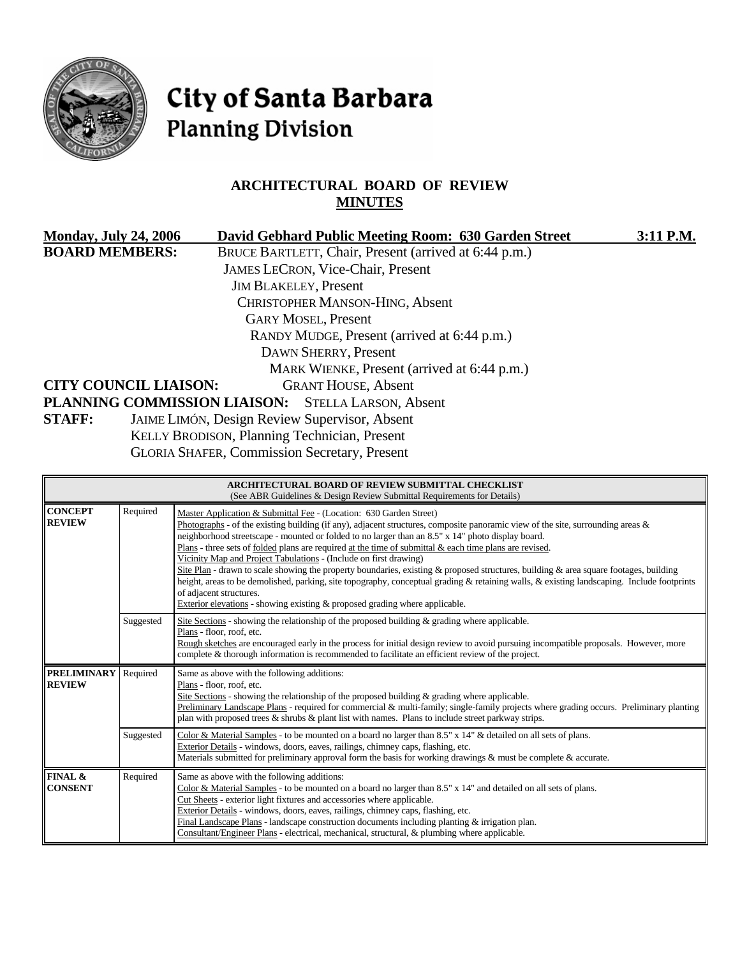

# City of Santa Barbara **Planning Division**

# **ARCHITECTURAL BOARD OF REVIEW MINUTES**

|                       | <b>Monday, July 24, 2006</b> | David Gebhard Public Meeting Room: 630 Garden Street  | 3:11 P.M. |
|-----------------------|------------------------------|-------------------------------------------------------|-----------|
| <b>BOARD MEMBERS:</b> |                              | BRUCE BARTLETT, Chair, Present (arrived at 6:44 p.m.) |           |
|                       |                              | <b>JAMES LECRON, Vice-Chair, Present</b>              |           |
|                       |                              | <b>JIM BLAKELEY, Present</b>                          |           |
|                       |                              | <b>CHRISTOPHER MANSON-HING, Absent</b>                |           |
|                       |                              | <b>GARY MOSEL, Present</b>                            |           |
|                       |                              | RANDY MUDGE, Present (arrived at 6:44 p.m.)           |           |
|                       |                              | DAWN SHERRY, Present                                  |           |
|                       |                              | MARK WIENKE, Present (arrived at 6:44 p.m.)           |           |
|                       | <b>CITY COUNCIL LIAISON:</b> | <b>GRANT HOUSE, Absent</b>                            |           |
|                       |                              | PLANNING COMMISSION LIAISON: STELLA LARSON, Absent    |           |
| <b>STAFF:</b>         |                              | <b>JAIME LIMÓN, Design Review Supervisor, Absent</b>  |           |
|                       |                              | KELLY BRODISON, Planning Technician, Present          |           |
|                       |                              |                                                       |           |

GLORIA SHAFER, Commission Secretary, Present

| <b>ARCHITECTURAL BOARD OF REVIEW SUBMITTAL CHECKLIST</b><br>(See ABR Guidelines & Design Review Submittal Requirements for Details) |           |                                                                                                                                                                                                                                                                                                                                                                                                                                                                                                                                                                                                                                                                                                                                                                                                                                                                                                      |  |
|-------------------------------------------------------------------------------------------------------------------------------------|-----------|------------------------------------------------------------------------------------------------------------------------------------------------------------------------------------------------------------------------------------------------------------------------------------------------------------------------------------------------------------------------------------------------------------------------------------------------------------------------------------------------------------------------------------------------------------------------------------------------------------------------------------------------------------------------------------------------------------------------------------------------------------------------------------------------------------------------------------------------------------------------------------------------------|--|
| <b>CONCEPT</b><br><b>REVIEW</b>                                                                                                     | Required  | Master Application & Submittal Fee - (Location: 630 Garden Street)<br>Photographs - of the existing building (if any), adjacent structures, composite panoramic view of the site, surrounding areas $\&$<br>neighborhood streetscape - mounted or folded to no larger than an 8.5" x 14" photo display board.<br>Plans - three sets of folded plans are required at the time of submittal $\&$ each time plans are revised.<br>Vicinity Map and Project Tabulations - (Include on first drawing)<br>Site Plan - drawn to scale showing the property boundaries, existing & proposed structures, building & area square footages, building<br>height, areas to be demolished, parking, site topography, conceptual grading & retaining walls, & existing landscaping. Include footprints<br>of adjacent structures.<br>Exterior elevations - showing existing $\&$ proposed grading where applicable. |  |
|                                                                                                                                     | Suggested | Site Sections - showing the relationship of the proposed building $\&$ grading where applicable.<br>Plans - floor, roof, etc.<br>Rough sketches are encouraged early in the process for initial design review to avoid pursuing incompatible proposals. However, more<br>complete & thorough information is recommended to facilitate an efficient review of the project.                                                                                                                                                                                                                                                                                                                                                                                                                                                                                                                            |  |
| <b>PRELIMINARY</b><br><b>REVIEW</b>                                                                                                 | Required  | Same as above with the following additions:<br>Plans - floor, roof, etc.<br>Site Sections - showing the relationship of the proposed building $\&$ grading where applicable.<br>Preliminary Landscape Plans - required for commercial & multi-family; single-family projects where grading occurs. Preliminary planting<br>plan with proposed trees & shrubs & plant list with names. Plans to include street parkway strips.                                                                                                                                                                                                                                                                                                                                                                                                                                                                        |  |
|                                                                                                                                     | Suggested | Color & Material Samples - to be mounted on a board no larger than 8.5" x 14" & detailed on all sets of plans.<br>Exterior Details - windows, doors, eaves, railings, chimney caps, flashing, etc.<br>Materials submitted for preliminary approval form the basis for working drawings & must be complete & accurate.                                                                                                                                                                                                                                                                                                                                                                                                                                                                                                                                                                                |  |
| FINAL &<br><b>CONSENT</b>                                                                                                           | Required  | Same as above with the following additions:<br>Color & Material Samples - to be mounted on a board no larger than $8.5" \times 14"$ and detailed on all sets of plans.<br>Cut Sheets - exterior light fixtures and accessories where applicable.<br>Exterior Details - windows, doors, eaves, railings, chimney caps, flashing, etc.<br>Final Landscape Plans - landscape construction documents including planting & irrigation plan.<br>Consultant/Engineer Plans - electrical, mechanical, structural, & plumbing where applicable.                                                                                                                                                                                                                                                                                                                                                               |  |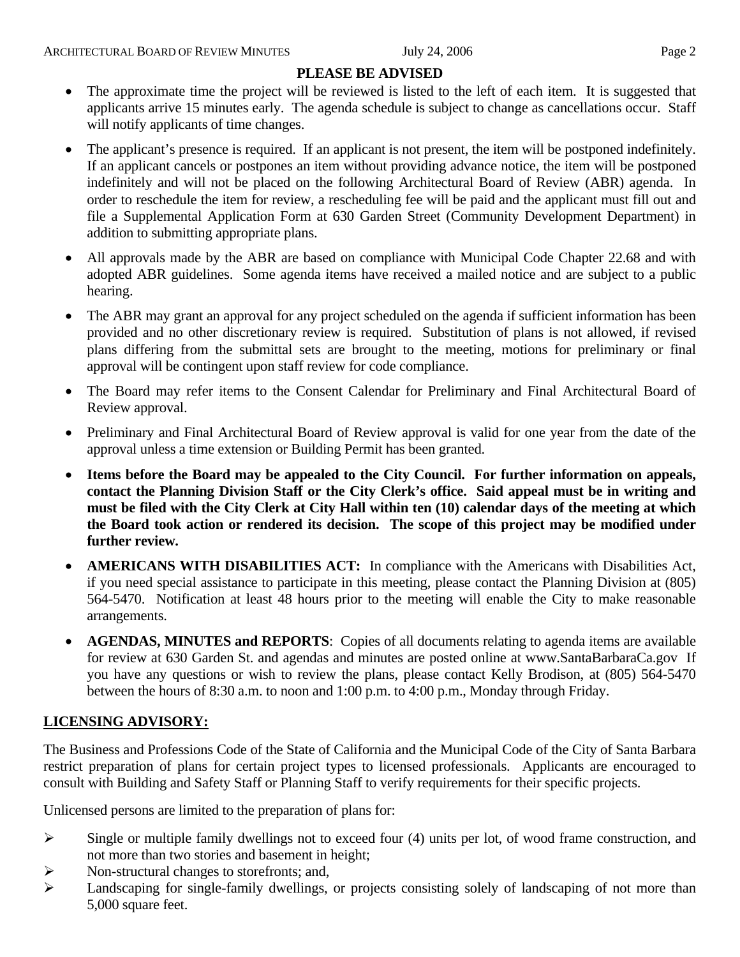# **PLEASE BE ADVISED**

- The approximate time the project will be reviewed is listed to the left of each item. It is suggested that applicants arrive 15 minutes early. The agenda schedule is subject to change as cancellations occur. Staff will notify applicants of time changes.
- The applicant's presence is required. If an applicant is not present, the item will be postponed indefinitely. If an applicant cancels or postpones an item without providing advance notice, the item will be postponed indefinitely and will not be placed on the following Architectural Board of Review (ABR) agenda. In order to reschedule the item for review, a rescheduling fee will be paid and the applicant must fill out and file a Supplemental Application Form at 630 Garden Street (Community Development Department) in addition to submitting appropriate plans.
- All approvals made by the ABR are based on compliance with Municipal Code Chapter 22.68 and with adopted ABR guidelines. Some agenda items have received a mailed notice and are subject to a public hearing.
- The ABR may grant an approval for any project scheduled on the agenda if sufficient information has been provided and no other discretionary review is required. Substitution of plans is not allowed, if revised plans differing from the submittal sets are brought to the meeting, motions for preliminary or final approval will be contingent upon staff review for code compliance.
- The Board may refer items to the Consent Calendar for Preliminary and Final Architectural Board of Review approval.
- Preliminary and Final Architectural Board of Review approval is valid for one year from the date of the approval unless a time extension or Building Permit has been granted.
- **Items before the Board may be appealed to the City Council. For further information on appeals, contact the Planning Division Staff or the City Clerk's office. Said appeal must be in writing and must be filed with the City Clerk at City Hall within ten (10) calendar days of the meeting at which the Board took action or rendered its decision. The scope of this project may be modified under further review.**
- **AMERICANS WITH DISABILITIES ACT:** In compliance with the Americans with Disabilities Act, if you need special assistance to participate in this meeting, please contact the Planning Division at (805) 564-5470. Notification at least 48 hours prior to the meeting will enable the City to make reasonable arrangements.
- **AGENDAS, MINUTES and REPORTS**: Copies of all documents relating to agenda items are available for review at 630 Garden St. and agendas and minutes are posted online at [www.SantaBarbaraCa.gov](http://www.santabarbaraca.gov/) If you have any questions or wish to review the plans, please contact Kelly Brodison, at (805) 564-5470 between the hours of 8:30 a.m. to noon and 1:00 p.m. to 4:00 p.m., Monday through Friday.

# **LICENSING ADVISORY:**

The Business and Professions Code of the State of California and the Municipal Code of the City of Santa Barbara restrict preparation of plans for certain project types to licensed professionals. Applicants are encouraged to consult with Building and Safety Staff or Planning Staff to verify requirements for their specific projects.

Unlicensed persons are limited to the preparation of plans for:

- ¾ Single or multiple family dwellings not to exceed four (4) units per lot, of wood frame construction, and not more than two stories and basement in height;
- ¾ Non-structural changes to storefronts; and,
- ¾ Landscaping for single-family dwellings, or projects consisting solely of landscaping of not more than 5,000 square feet.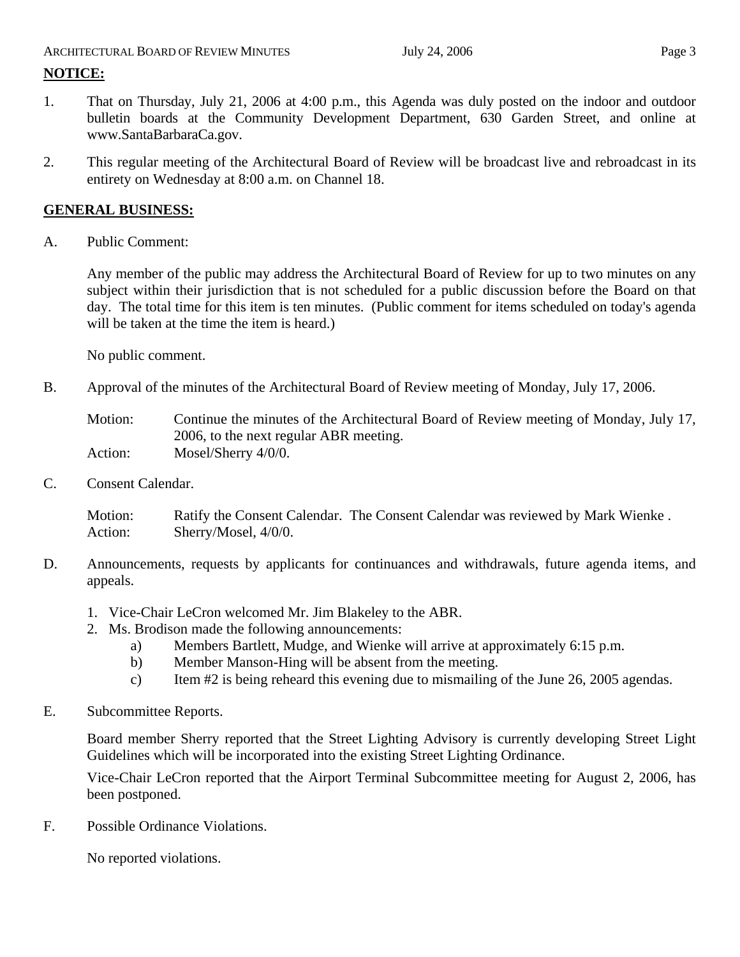#### ARCHITECTURAL BOARD OF REVIEW MINUTES July 24, 2006 **Page 3**

# **NOTICE:**

- 1. That on Thursday, July 21, 2006 at 4:00 p.m., this Agenda was duly posted on the indoor and outdoor bulletin boards at the Community Development Department, 630 Garden Street, and online at www.SantaBarbaraCa.gov.
- 2. This regular meeting of the Architectural Board of Review will be broadcast live and rebroadcast in its entirety on Wednesday at 8:00 a.m. on Channel 18.

# **GENERAL BUSINESS:**

A. Public Comment:

Any member of the public may address the Architectural Board of Review for up to two minutes on any subject within their jurisdiction that is not scheduled for a public discussion before the Board on that day. The total time for this item is ten minutes. (Public comment for items scheduled on today's agenda will be taken at the time the item is heard.)

No public comment.

B. Approval of the minutes of the Architectural Board of Review meeting of Monday, July 17, 2006.

Motion: Continue the minutes of the Architectural Board of Review meeting of Monday, July 17, 2006, to the next regular ABR meeting. Action: Mosel/Sherry 4/0/0.

C. Consent Calendar.

Motion: Ratify the Consent Calendar. The Consent Calendar was reviewed by Mark Wienke . Action: Sherry/Mosel,  $4/0/0$ .

- D. Announcements, requests by applicants for continuances and withdrawals, future agenda items, and appeals.
	- 1. Vice-Chair LeCron welcomed Mr. Jim Blakeley to the ABR.
	- 2. Ms. Brodison made the following announcements:
		- a) Members Bartlett, Mudge, and Wienke will arrive at approximately 6:15 p.m.
		- b) Member Manson-Hing will be absent from the meeting.
		- c) Item #2 is being reheard this evening due to mismailing of the June 26, 2005 agendas.
- E. Subcommittee Reports.

Board member Sherry reported that the Street Lighting Advisory is currently developing Street Light Guidelines which will be incorporated into the existing Street Lighting Ordinance.

Vice-Chair LeCron reported that the Airport Terminal Subcommittee meeting for August 2, 2006, has been postponed.

F. Possible Ordinance Violations.

No reported violations.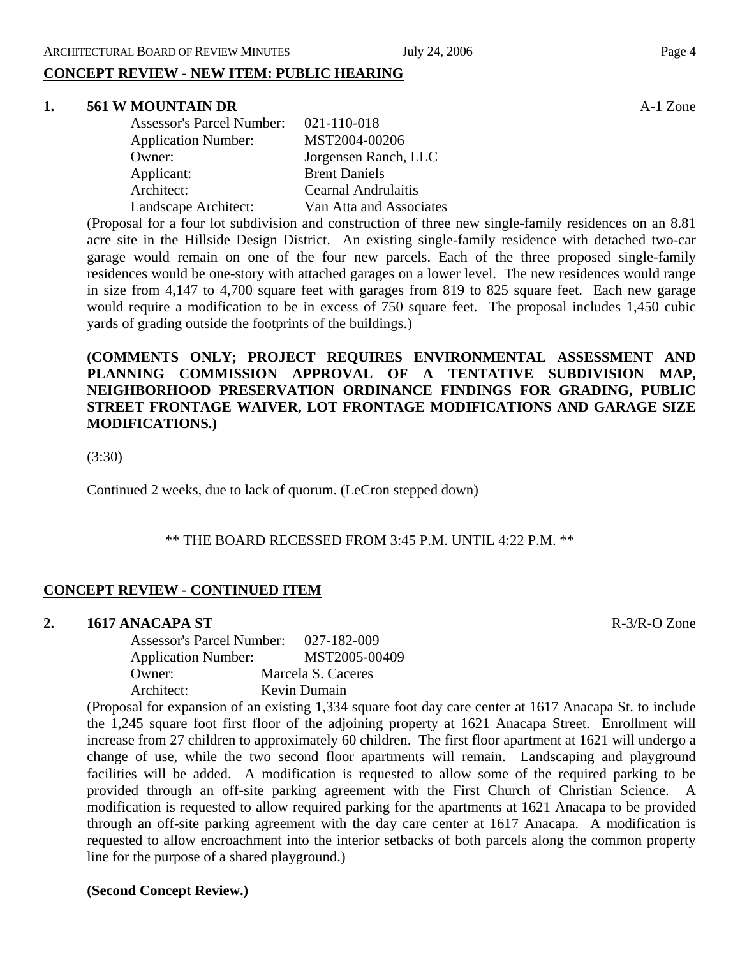#### **1. 561 W MOUNTAIN DR** A-1 Zone

| <b>Assessor's Parcel Number:</b> | 021-110-018                |
|----------------------------------|----------------------------|
| <b>Application Number:</b>       | MST2004-00206              |
| Owner:                           | Jorgensen Ranch, LLC       |
| Applicant:                       | <b>Brent Daniels</b>       |
| Architect:                       | <b>Cearnal Andrulaitis</b> |
| Landscape Architect:             | Van Atta and Associates    |

(Proposal for a four lot subdivision and construction of three new single-family residences on an 8.81 acre site in the Hillside Design District. An existing single-family residence with detached two-car garage would remain on one of the four new parcels. Each of the three proposed single-family residences would be one-story with attached garages on a lower level. The new residences would range in size from 4,147 to 4,700 square feet with garages from 819 to 825 square feet. Each new garage would require a modification to be in excess of 750 square feet. The proposal includes 1,450 cubic yards of grading outside the footprints of the buildings.)

**(COMMENTS ONLY; PROJECT REQUIRES ENVIRONMENTAL ASSESSMENT AND PLANNING COMMISSION APPROVAL OF A TENTATIVE SUBDIVISION MAP, NEIGHBORHOOD PRESERVATION ORDINANCE FINDINGS FOR GRADING, PUBLIC STREET FRONTAGE WAIVER, LOT FRONTAGE MODIFICATIONS AND GARAGE SIZE MODIFICATIONS.)** 

(3:30)

Continued 2 weeks, due to lack of quorum. (LeCron stepped down)

### \*\* THE BOARD RECESSED FROM 3:45 P.M. UNTIL 4:22 P.M. \*\*

### **CONCEPT REVIEW - CONTINUED ITEM**

### **2. 1617 ANACAPA ST** R-3/R-O Zone

Assessor's Parcel Number: 027-182-009 Application Number: MST2005-00409 Owner: Marcela S. Caceres Architect: Kevin Dumain

(Proposal for expansion of an existing 1,334 square foot day care center at 1617 Anacapa St. to include the 1,245 square foot first floor of the adjoining property at 1621 Anacapa Street. Enrollment will increase from 27 children to approximately 60 children. The first floor apartment at 1621 will undergo a change of use, while the two second floor apartments will remain. Landscaping and playground facilities will be added. A modification is requested to allow some of the required parking to be provided through an off-site parking agreement with the First Church of Christian Science. A modification is requested to allow required parking for the apartments at 1621 Anacapa to be provided through an off-site parking agreement with the day care center at 1617 Anacapa. A modification is requested to allow encroachment into the interior setbacks of both parcels along the common property line for the purpose of a shared playground.)

**(Second Concept Review.)**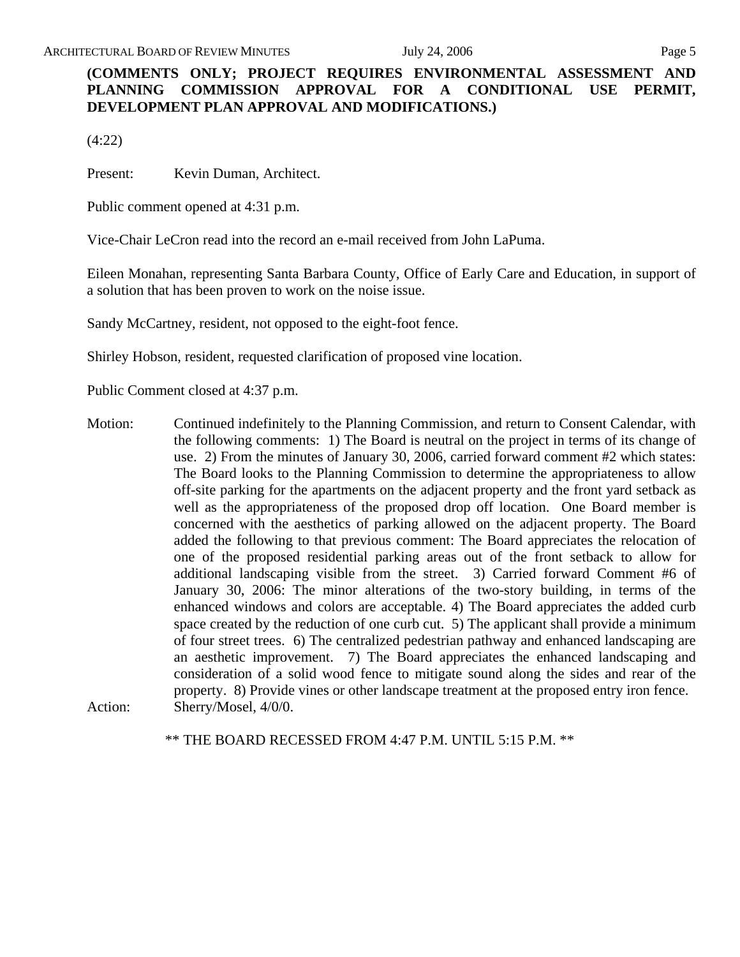# **(COMMENTS ONLY; PROJECT REQUIRES ENVIRONMENTAL ASSESSMENT AND PLANNING COMMISSION APPROVAL FOR A CONDITIONAL USE PERMIT, DEVELOPMENT PLAN APPROVAL AND MODIFICATIONS.)**

(4:22)

Present: Kevin Duman, Architect.

Public comment opened at 4:31 p.m.

Vice-Chair LeCron read into the record an e-mail received from John LaPuma.

Eileen Monahan, representing Santa Barbara County, Office of Early Care and Education, in support of a solution that has been proven to work on the noise issue.

Sandy McCartney, resident, not opposed to the eight-foot fence.

Shirley Hobson, resident, requested clarification of proposed vine location.

Public Comment closed at 4:37 p.m.

Motion: Continued indefinitely to the Planning Commission, and return to Consent Calendar, with the following comments: 1) The Board is neutral on the project in terms of its change of use. 2) From the minutes of January 30, 2006, carried forward comment #2 which states: The Board looks to the Planning Commission to determine the appropriateness to allow off-site parking for the apartments on the adjacent property and the front yard setback as well as the appropriateness of the proposed drop off location. One Board member is concerned with the aesthetics of parking allowed on the adjacent property. The Board added the following to that previous comment: The Board appreciates the relocation of one of the proposed residential parking areas out of the front setback to allow for additional landscaping visible from the street. 3) Carried forward Comment #6 of January 30, 2006: The minor alterations of the two-story building, in terms of the enhanced windows and colors are acceptable. 4) The Board appreciates the added curb space created by the reduction of one curb cut. 5) The applicant shall provide a minimum of four street trees. 6) The centralized pedestrian pathway and enhanced landscaping are an aesthetic improvement. 7) The Board appreciates the enhanced landscaping and consideration of a solid wood fence to mitigate sound along the sides and rear of the property. 8) Provide vines or other landscape treatment at the proposed entry iron fence. Action: Sherry/Mosel,  $4/0/0$ .

\*\* THE BOARD RECESSED FROM 4:47 P.M. UNTIL 5:15 P.M. \*\*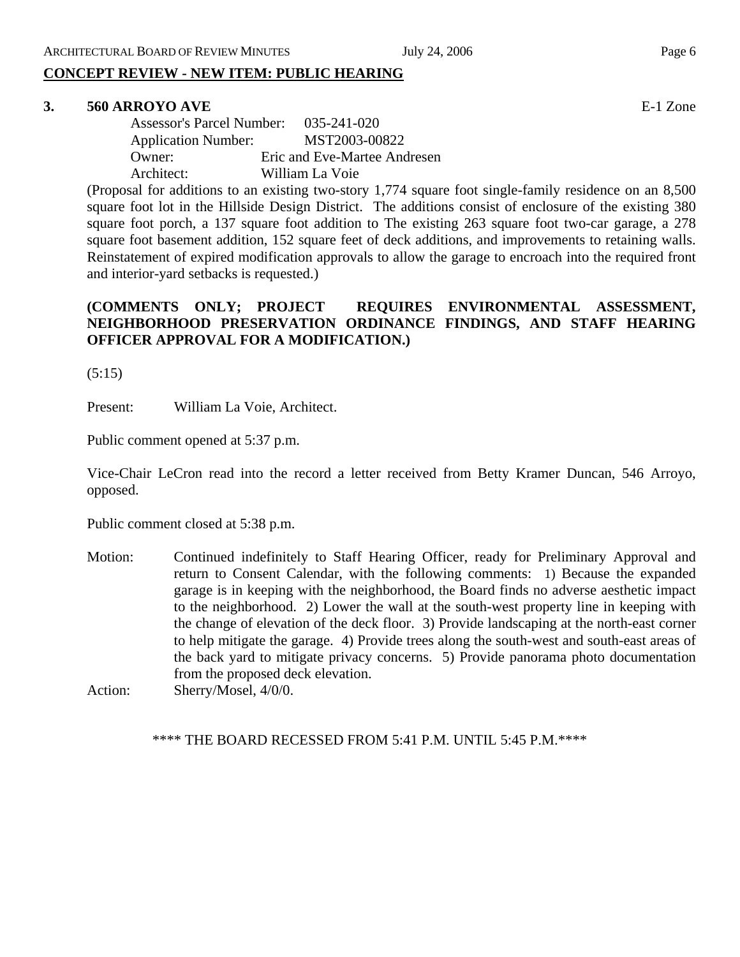# **3. 560 ARROYO AVE** E-1 Zone

| <b>Assessor's Parcel Number:</b> | $035 - 241 - 020$            |
|----------------------------------|------------------------------|
| <b>Application Number:</b>       | MST2003-00822                |
| Owner:                           | Eric and Eve-Martee Andresen |
| Architect:                       | William La Voie              |

(Proposal for additions to an existing two-story 1,774 square foot single-family residence on an 8,500 square foot lot in the Hillside Design District. The additions consist of enclosure of the existing 380 square foot porch, a 137 square foot addition to The existing 263 square foot two-car garage, a 278 square foot basement addition, 152 square feet of deck additions, and improvements to retaining walls. Reinstatement of expired modification approvals to allow the garage to encroach into the required front and interior-yard setbacks is requested.)

# **(COMMENTS ONLY; PROJECT REQUIRES ENVIRONMENTAL ASSESSMENT, NEIGHBORHOOD PRESERVATION ORDINANCE FINDINGS, AND STAFF HEARING OFFICER APPROVAL FOR A MODIFICATION.)**

(5:15)

Present: William La Voie, Architect.

Public comment opened at 5:37 p.m.

Vice-Chair LeCron read into the record a letter received from Betty Kramer Duncan, 546 Arroyo, opposed.

Public comment closed at 5:38 p.m.

Motion: Continued indefinitely to Staff Hearing Officer, ready for Preliminary Approval and return to Consent Calendar, with the following comments: 1) Because the expanded garage is in keeping with the neighborhood, the Board finds no adverse aesthetic impact to the neighborhood. 2) Lower the wall at the south-west property line in keeping with the change of elevation of the deck floor. 3) Provide landscaping at the north-east corner to help mitigate the garage. 4) Provide trees along the south-west and south-east areas of the back yard to mitigate privacy concerns. 5) Provide panorama photo documentation from the proposed deck elevation.

Action: Sherry/Mosel,  $4/0/0$ .

\*\*\*\* THE BOARD RECESSED FROM 5:41 P.M. UNTIL 5:45 P.M.\*\*\*\*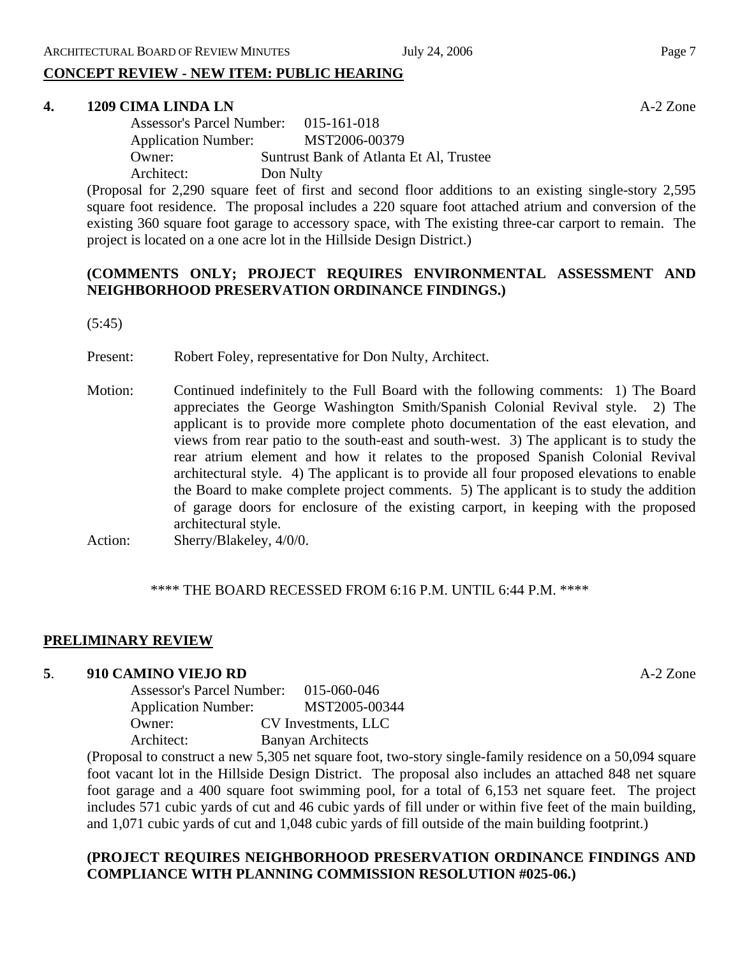#### **4. 1209 CIMA LINDA LN** A-2 Zone

| <b>Assessor's Parcel Number:</b> | $015 - 161 - 018$                       |
|----------------------------------|-----------------------------------------|
| <b>Application Number:</b>       | MST2006-00379                           |
| Owner:                           | Suntrust Bank of Atlanta Et Al, Trustee |
| Architect:                       | Don Nulty                               |

(Proposal for 2,290 square feet of first and second floor additions to an existing single-story 2,595 square foot residence. The proposal includes a 220 square foot attached atrium and conversion of the existing 360 square foot garage to accessory space, with The existing three-car carport to remain. The project is located on a one acre lot in the Hillside Design District.)

# **(COMMENTS ONLY; PROJECT REQUIRES ENVIRONMENTAL ASSESSMENT AND NEIGHBORHOOD PRESERVATION ORDINANCE FINDINGS.)**

(5:45)

Present: Robert Foley, representative for Don Nulty, Architect.

Motion: Continued indefinitely to the Full Board with the following comments: 1) The Board appreciates the George Washington Smith/Spanish Colonial Revival style. 2) The applicant is to provide more complete photo documentation of the east elevation, and views from rear patio to the south-east and south-west. 3) The applicant is to study the rear atrium element and how it relates to the proposed Spanish Colonial Revival architectural style. 4) The applicant is to provide all four proposed elevations to enable the Board to make complete project comments. 5) The applicant is to study the addition of garage doors for enclosure of the existing carport, in keeping with the proposed architectural style.

Action: Sherry/Blakeley,  $4/0/0$ .

#### \*\*\*\* THE BOARD RECESSED FROM 6:16 P.M. UNTIL 6:44 P.M. \*\*\*\*

### **PRELIMINARY REVIEW**

#### **5**. **910 CAMINO VIEJO RD** A-2 Zone

| <b>Assessor's Parcel Number:</b> | 015-060-046              |
|----------------------------------|--------------------------|
| <b>Application Number:</b>       | MST2005-00344            |
| Owner:                           | CV Investments, LLC      |
| Architect:                       | <b>Banyan Architects</b> |

(Proposal to construct a new 5,305 net square foot, two-story single-family residence on a 50,094 square foot vacant lot in the Hillside Design District. The proposal also includes an attached 848 net square foot garage and a 400 square foot swimming pool, for a total of 6,153 net square feet. The project includes 571 cubic yards of cut and 46 cubic yards of fill under or within five feet of the main building, and 1,071 cubic yards of cut and 1,048 cubic yards of fill outside of the main building footprint.)

# **(PROJECT REQUIRES NEIGHBORHOOD PRESERVATION ORDINANCE FINDINGS AND COMPLIANCE WITH PLANNING COMMISSION RESOLUTION #025-06.)**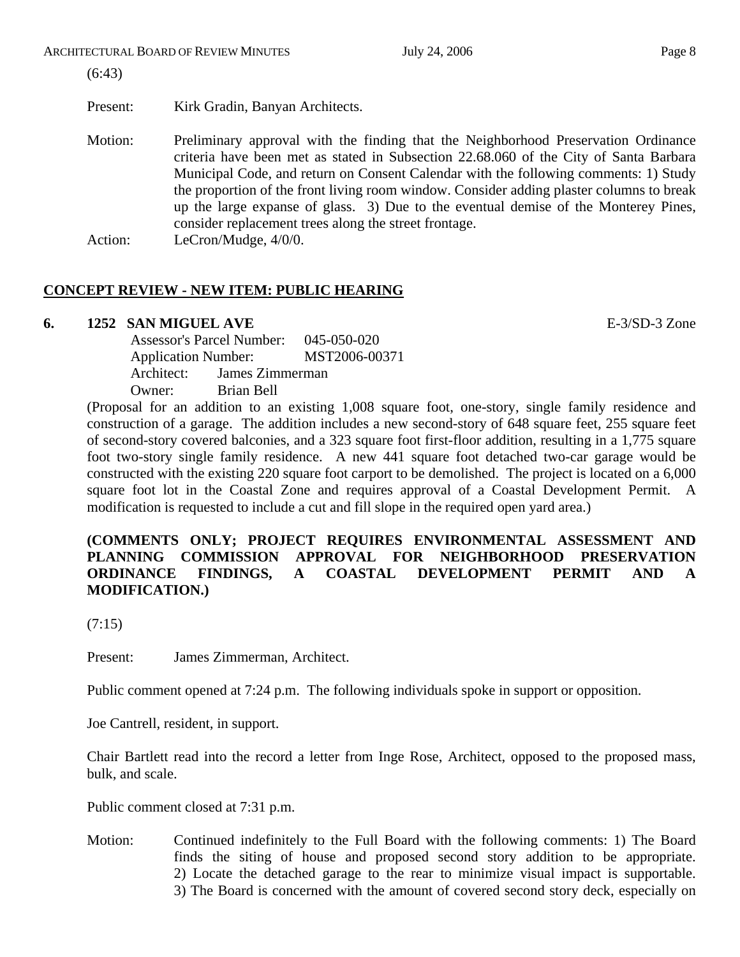(6:43)

Present: Kirk Gradin, Banyan Architects.

Motion: Preliminary approval with the finding that the Neighborhood Preservation Ordinance criteria have been met as stated in Subsection 22.68.060 of the City of Santa Barbara Municipal Code, and return on Consent Calendar with the following comments: 1) Study the proportion of the front living room window. Consider adding plaster columns to break up the large expanse of glass. 3) Due to the eventual demise of the Monterey Pines, consider replacement trees along the street frontage. Action: LeCron/Mudge,  $4/0/0$ .

# **CONCEPT REVIEW - NEW ITEM: PUBLIC HEARING**

# **6. 1252 SAN MIGUEL AVE E-3/SD-3 Zone**

Assessor's Parcel Number: 045-050-020 Application Number: MST2006-00371 Architect: James Zimmerman Owner: Brian Bell

(Proposal for an addition to an existing 1,008 square foot, one-story, single family residence and construction of a garage. The addition includes a new second-story of 648 square feet, 255 square feet of second-story covered balconies, and a 323 square foot first-floor addition, resulting in a 1,775 square foot two-story single family residence. A new 441 square foot detached two-car garage would be constructed with the existing 220 square foot carport to be demolished. The project is located on a 6,000 square foot lot in the Coastal Zone and requires approval of a Coastal Development Permit. A modification is requested to include a cut and fill slope in the required open yard area.)

# **(COMMENTS ONLY; PROJECT REQUIRES ENVIRONMENTAL ASSESSMENT AND PLANNING COMMISSION APPROVAL FOR NEIGHBORHOOD PRESERVATION ORDINANCE FINDINGS, A COASTAL DEVELOPMENT PERMIT AND A MODIFICATION.)**

 $(7:15)$ 

Present: James Zimmerman, Architect.

Public comment opened at 7:24 p.m. The following individuals spoke in support or opposition.

Joe Cantrell, resident, in support.

Chair Bartlett read into the record a letter from Inge Rose, Architect, opposed to the proposed mass, bulk, and scale.

Public comment closed at 7:31 p.m.

Motion: Continued indefinitely to the Full Board with the following comments: 1) The Board finds the siting of house and proposed second story addition to be appropriate. 2) Locate the detached garage to the rear to minimize visual impact is supportable. 3) The Board is concerned with the amount of covered second story deck, especially on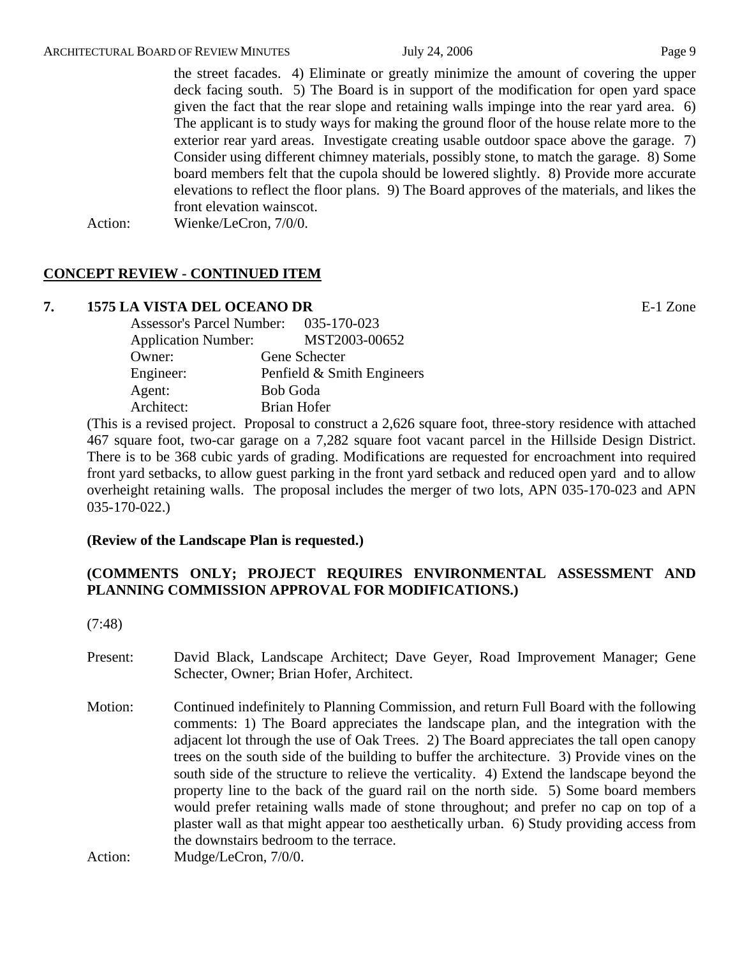the street facades. 4) Eliminate or greatly minimize the amount of covering the upper deck facing south. 5) The Board is in support of the modification for open yard space given the fact that the rear slope and retaining walls impinge into the rear yard area. 6) The applicant is to study ways for making the ground floor of the house relate more to the exterior rear yard areas. Investigate creating usable outdoor space above the garage. 7) Consider using different chimney materials, possibly stone, to match the garage. 8) Some board members felt that the cupola should be lowered slightly. 8) Provide more accurate elevations to reflect the floor plans. 9) The Board approves of the materials, and likes the front elevation wainscot.

Action: Wienke/LeCron, 7/0/0.

# **CONCEPT REVIEW - CONTINUED ITEM**

# **7. 1575 LA VISTA DEL OCEANO DR** E-1 Zone

| <b>Assessor's Parcel Number:</b> | 035-170-023                |
|----------------------------------|----------------------------|
| <b>Application Number:</b>       | MST2003-00652              |
| Owner:                           | Gene Schecter              |
| Engineer:                        | Penfield & Smith Engineers |
| Agent:                           | <b>Bob Goda</b>            |
| Architect:                       | Brian Hofer                |

(This is a revised project. Proposal to construct a 2,626 square foot, three-story residence with attached 467 square foot, two-car garage on a 7,282 square foot vacant parcel in the Hillside Design District. There is to be 368 cubic yards of grading. Modifications are requested for encroachment into required front yard setbacks, to allow guest parking in the front yard setback and reduced open yard and to allow overheight retaining walls. The proposal includes the merger of two lots, APN 035-170-023 and APN 035-170-022.)

# **(Review of the Landscape Plan is requested.)**

# **(COMMENTS ONLY; PROJECT REQUIRES ENVIRONMENTAL ASSESSMENT AND PLANNING COMMISSION APPROVAL FOR MODIFICATIONS.)**

(7:48)

- Present: David Black, Landscape Architect; Dave Geyer, Road Improvement Manager; Gene Schecter, Owner; Brian Hofer, Architect.
- Motion: Continued indefinitely to Planning Commission, and return Full Board with the following comments: 1) The Board appreciates the landscape plan, and the integration with the adjacent lot through the use of Oak Trees. 2) The Board appreciates the tall open canopy trees on the south side of the building to buffer the architecture. 3) Provide vines on the south side of the structure to relieve the verticality. 4) Extend the landscape beyond the property line to the back of the guard rail on the north side. 5) Some board members would prefer retaining walls made of stone throughout; and prefer no cap on top of a plaster wall as that might appear too aesthetically urban. 6) Study providing access from the downstairs bedroom to the terrace.

Action: Mudge/LeCron, 7/0/0.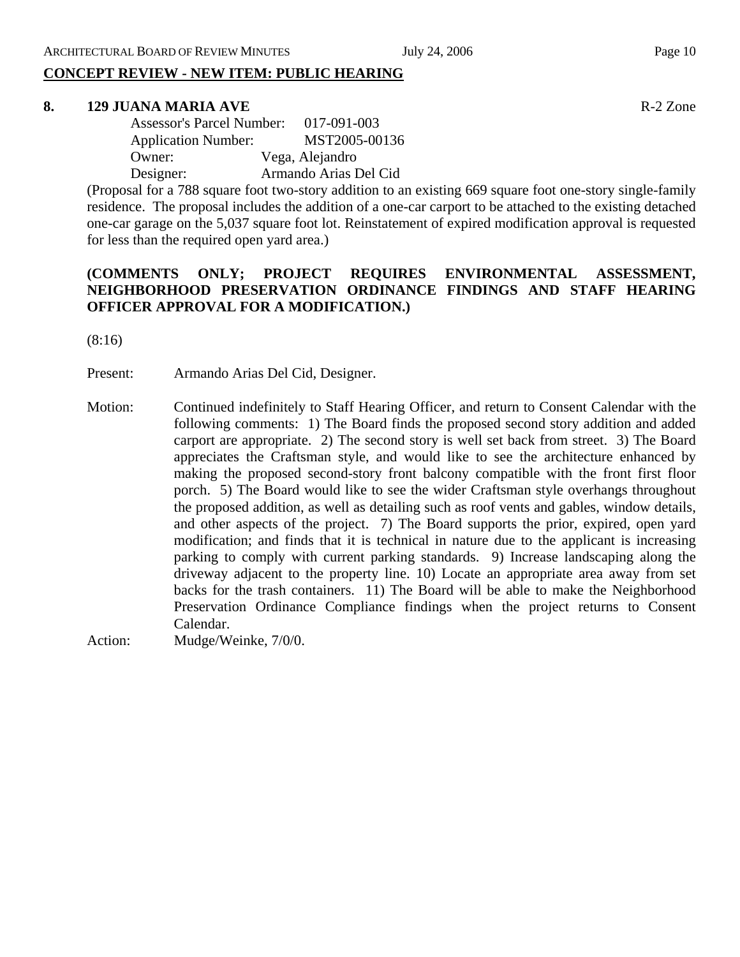#### **8. 129 JUANA MARIA AVE** R-2 Zone

| <b>Assessor's Parcel Number:</b> | $017 - 091 - 003$     |
|----------------------------------|-----------------------|
| <b>Application Number:</b>       | MST2005-00136         |
| Owner:                           | Vega, Alejandro       |
| Designer:                        | Armando Arias Del Cid |

(Proposal for a 788 square foot two-story addition to an existing 669 square foot one-story single-family residence. The proposal includes the addition of a one-car carport to be attached to the existing detached one-car garage on the 5,037 square foot lot. Reinstatement of expired modification approval is requested for less than the required open yard area.)

# **(COMMENTS ONLY; PROJECT REQUIRES ENVIRONMENTAL ASSESSMENT, NEIGHBORHOOD PRESERVATION ORDINANCE FINDINGS AND STAFF HEARING OFFICER APPROVAL FOR A MODIFICATION.)**

(8:16)

Present: Armando Arias Del Cid, Designer.

Motion: Continued indefinitely to Staff Hearing Officer, and return to Consent Calendar with the following comments: 1) The Board finds the proposed second story addition and added carport are appropriate. 2) The second story is well set back from street. 3) The Board appreciates the Craftsman style, and would like to see the architecture enhanced by making the proposed second-story front balcony compatible with the front first floor porch. 5) The Board would like to see the wider Craftsman style overhangs throughout the proposed addition, as well as detailing such as roof vents and gables, window details, and other aspects of the project. 7) The Board supports the prior, expired, open yard modification; and finds that it is technical in nature due to the applicant is increasing parking to comply with current parking standards. 9) Increase landscaping along the driveway adjacent to the property line. 10) Locate an appropriate area away from set backs for the trash containers. 11) The Board will be able to make the Neighborhood Preservation Ordinance Compliance findings when the project returns to Consent Calendar.

Action: Mudge/Weinke, 7/0/0.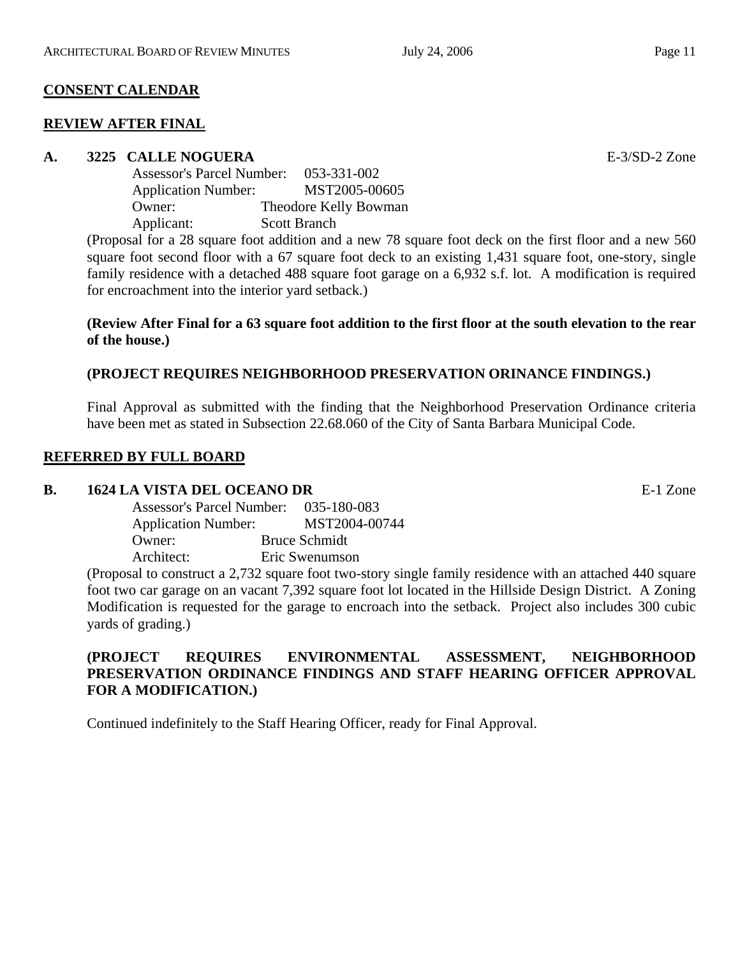# **CONSENT CALENDAR**

### **REVIEW AFTER FINAL**

### **A. 3225 CALLE NOGUERA** E-3/SD-2 Zone

| <b>Assessor's Parcel Number:</b> | 053-331-002           |
|----------------------------------|-----------------------|
| <b>Application Number:</b>       | MST2005-00605         |
| Owner:                           | Theodore Kelly Bowman |
| Applicant:                       | <b>Scott Branch</b>   |

(Proposal for a 28 square foot addition and a new 78 square foot deck on the first floor and a new 560 square foot second floor with a 67 square foot deck to an existing 1,431 square foot, one-story, single family residence with a detached 488 square foot garage on a 6,932 s.f. lot. A modification is required for encroachment into the interior yard setback.)

### **(Review After Final for a 63 square foot addition to the first floor at the south elevation to the rear of the house.)**

# **(PROJECT REQUIRES NEIGHBORHOOD PRESERVATION ORINANCE FINDINGS.)**

Final Approval as submitted with the finding that the Neighborhood Preservation Ordinance criteria have been met as stated in Subsection 22.68.060 of the City of Santa Barbara Municipal Code.

### **REFERRED BY FULL BOARD**

### **B. 1624 LA VISTA DEL OCEANO DR** E-1 Zone

| <b>Assessor's Parcel Number:</b> | 035-180-083          |
|----------------------------------|----------------------|
| <b>Application Number:</b>       | MST2004-00744        |
| Owner:                           | <b>Bruce Schmidt</b> |
| Architect:                       | Eric Swenumson       |

(Proposal to construct a 2,732 square foot two-story single family residence with an attached 440 square foot two car garage on an vacant 7,392 square foot lot located in the Hillside Design District. A Zoning Modification is requested for the garage to encroach into the setback. Project also includes 300 cubic yards of grading.)

# **(PROJECT REQUIRES ENVIRONMENTAL ASSESSMENT, NEIGHBORHOOD PRESERVATION ORDINANCE FINDINGS AND STAFF HEARING OFFICER APPROVAL FOR A MODIFICATION.)**

Continued indefinitely to the Staff Hearing Officer, ready for Final Approval.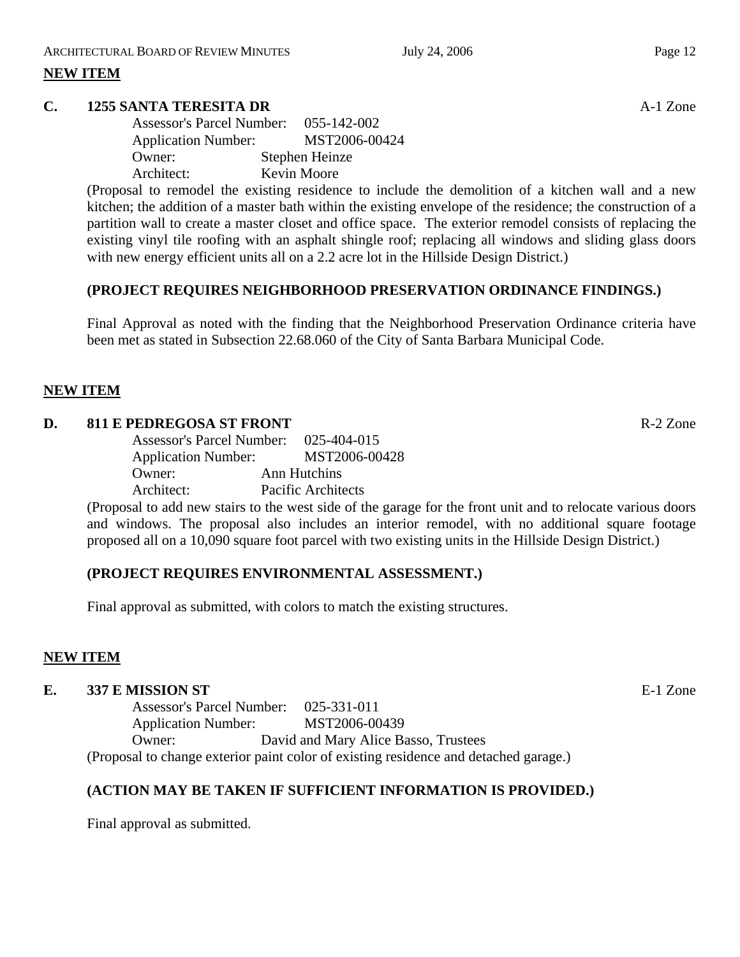# **NEW ITEM**

# **C. 1255 SANTA TERESITA DR** A-1 Zone

| <b>Assessor's Parcel Number:</b> | 055-142-002    |
|----------------------------------|----------------|
| <b>Application Number:</b>       | MST2006-00424  |
| Owner:                           | Stephen Heinze |
| Architect:                       | Kevin Moore    |

(Proposal to remodel the existing residence to include the demolition of a kitchen wall and a new kitchen; the addition of a master bath within the existing envelope of the residence; the construction of a partition wall to create a master closet and office space. The exterior remodel consists of replacing the existing vinyl tile roofing with an asphalt shingle roof; replacing all windows and sliding glass doors with new energy efficient units all on a 2.2 acre lot in the Hillside Design District.)

### **(PROJECT REQUIRES NEIGHBORHOOD PRESERVATION ORDINANCE FINDINGS.)**

Final Approval as noted with the finding that the Neighborhood Preservation Ordinance criteria have been met as stated in Subsection 22.68.060 of the City of Santa Barbara Municipal Code.

### **NEW ITEM**

#### **D.** 811 E PEDREGOSA ST FRONT R-2 Zone

Assessor's Parcel Number: 025-404-015 Application Number: MST2006-00428 Owner: Ann Hutchins Architect: Pacific Architects

(Proposal to add new stairs to the west side of the garage for the front unit and to relocate various doors and windows. The proposal also includes an interior remodel, with no additional square footage proposed all on a 10,090 square foot parcel with two existing units in the Hillside Design District.)

### **(PROJECT REQUIRES ENVIRONMENTAL ASSESSMENT.)**

Final approval as submitted, with colors to match the existing structures.

### **NEW ITEM**

#### **E. 337 E MISSION ST E-1** Zone

Assessor's Parcel Number: 025-331-011 Application Number: MST2006-00439 Owner: David and Mary Alice Basso, Trustees (Proposal to change exterior paint color of existing residence and detached garage.)

## **(ACTION MAY BE TAKEN IF SUFFICIENT INFORMATION IS PROVIDED.)**

Final approval as submitted.